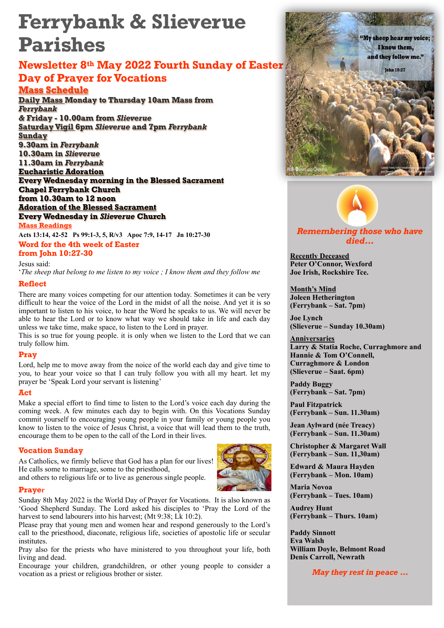# **Ferrybank & Slieverue Parishes**

# **Newsletter 8th May 2022 Fourth Sunday of Easter Day of Prayer for Vocations**

# **Mass Schedule**

**Daily Mass Monday to Thursday 10am Mass from**  *Ferrybank &* **Friday - 10.00am from** *Slieverue*  **Saturday Vigil 6pm** *Slieverue* **and 7pm** *Ferrybank*  **Sunday 9.30am in** *Ferrybank*  **10.30am in** *Slieverue*  **11.30am in** *Ferrybank*  **Eucharistic Adoration Every Wednesday morning in the Blessed Sacrament Chapel Ferrybank Church from 10.30am to 12 noon Adoration of the Blessed Sacrament Every Wednesday in** *Slieverue* **Church Mass Readings** 

**Word for the 4th week of Easter Acts 13:14, 42-52 Ps 99:1-3, 5, R/v3 Apoc 7:9, 14-17 Jn 10:27-30**

**from John 10:27-30** 

Jesus said:

'*The sheep that belong to me listen to my voice ; I know them and they follow me*

# **Reflect**

There are many voices competing for our attention today. Sometimes it can be very difficult to hear the voice of the Lord in the midst of all the noise. And yet it is so important to listen to his voice, to hear the Word he speaks to us. We will never be able to hear the Lord or to know what way we should take in life and each day unless we take time, make space, to listen to the Lord in prayer.

This is so true for young people. it is only when we listen to the Lord that we can truly follow him.

# **Pray**

Lord, help me to move away from the noice of the world each day and give time to you, to hear your voice so that I can truly follow you with all my heart. let my prayer be 'Speak Lord your servant is listening'

## **Act**

Make a special effort to find time to listen to the Lord's voice each day during the coming week. A few minutes each day to begin with. On this Vocations Sunday commit yourself to encouraging young people in your family or young people you know to listen to the voice of Jesus Christ, a voice that will lead them to the truth, encourage them to be open to the call of the Lord in their lives.

## **Vocation Sunday**

As Catholics, we firmly believe that God has a plan for our lives! He calls some to marriage, some to the priesthood,



and others to religious life or to live as generous single people.

#### **Prayer**

Sunday 8th May 2022 is the World Day of Prayer for Vocations. It is also known as 'Good Shepherd Sunday. The Lord asked his disciples to 'Pray the Lord of the harvest to send labourers into his harvest; (Mt 9:38; Lk 10:2).

Please pray that young men and women hear and respond generously to the Lord's call to the priesthood, diaconate, religious life, societies of apostolic life or secular institutes.

Pray also for the priests who have ministered to you throughout your life, both living and dead.

Encourage your children, grandchildren, or other young people to consider a vocation as a priest or religious brother or sister.





# *Remembering those who have died…*

**Recently Deceased Peter O'Connor, Wexford Joe Irish, Rockshire Tce.** 

**Month's Mind Joleen Hetherington (Ferrybank – Sat. 7pm)** 

**Joe Lynch (Slieverue – Sunday 10.30am)** 

**Anniversaries Larry & Statia Roche, Curraghmore and Hannie & Tom O'Connell, Curraghmore & London (Slieverue – Saat. 6pm)** 

**Paddy Buggy (Ferrybank – Sat. 7pm)** 

**Paul Fitzpatrick (Ferrybank – Sun. 11.30am)** 

**Jean Aylward (née Treacy) (Ferrybank – Sun. 11.30am)** 

**Christopher & Margaret Wall (Ferrybank – Sun. 11,30am)** 

**Edward & Maura Hayden (Ferrybank – Mon. 10am)** 

**Maria Novoa (Ferrybank – Tues. 10am)** 

**Audrey Hunt (Ferrybank – Thurs. 10am)** 

**Paddy Sinnott Eva Walsh William Doyle, Belmont Road Denis Carroll, Newrath** 

*May they rest in peace …*